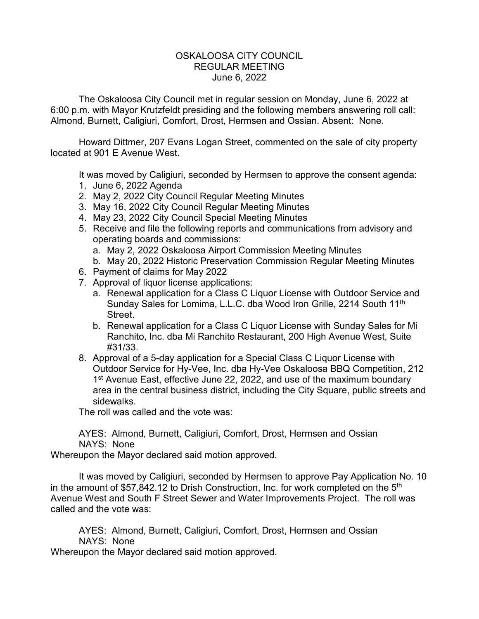## OSKALOOSA CITY COUNCIL REGULAR MEETING June 6, 2022

The Oskaloosa City Council met in regular session on Monday, June 6, 2022 at 6:00 p.m. with Mayor Krutzfeldt presiding and the following members answering roll call: Almond, Burnett, Caligiuri, Comfort, Drost, Hermsen and Ossian. Absent: None.

Howard Dittmer, 207 Evans Logan Street, commented on the sale of city property located at 901 E Avenue West.

It was moved by Caligiuri, seconded by Hermsen to approve the consent agenda:

- 1. June 6, 2022 Agenda
- 2. May 2, 2022 City Council Regular Meeting Minutes
- 3. May 16, 2022 City Council Regular Meeting Minutes
- 4. May 23, 2022 City Council Special Meeting Minutes
- 5. Receive and file the following reports and communications from advisory and operating boards and commissions:
	- a. May 2, 2022 Oskaloosa Airport Commission Meeting Minutes
	- b. May 20, 2022 Historic Preservation Commission Regular Meeting Minutes
- 6. Payment of claims for May 2022
- 7. Approval of liquor license applications:
	- a. Renewal application for a Class C Liquor License with Outdoor Service and Sunday Sales for Lomima, L.L.C. dba Wood Iron Grille, 2214 South 11<sup>th</sup> Street.
	- b. Renewal application for a Class C Liquor License with Sunday Sales for Mi Ranchito, Inc. dba Mi Ranchito Restaurant, 200 High Avenue West, Suite #31/33.
- 8. Approval of a 5-day application for a Special Class C Liquor License with Outdoor Service for Hy-Vee, Inc. dba Hy-Vee Oskaloosa BBQ Competition, 212 1<sup>st</sup> Avenue East, effective June 22, 2022, and use of the maximum boundary area in the central business district, including the City Square, public streets and sidewalks.

The roll was called and the vote was:

AYES: Almond, Burnett, Caligiuri, Comfort, Drost, Hermsen and Ossian NAYS: None

Whereupon the Mayor declared said motion approved.

It was moved by Caligiuri, seconded by Hermsen to approve Pay Application No. 10 in the amount of \$57,842.12 to Drish Construction, Inc. for work completed on the  $5<sup>th</sup>$ Avenue West and South F Street Sewer and Water Improvements Project. The roll was called and the vote was:

AYES: Almond, Burnett, Caligiuri, Comfort, Drost, Hermsen and Ossian NAYS: None

Whereupon the Mayor declared said motion approved.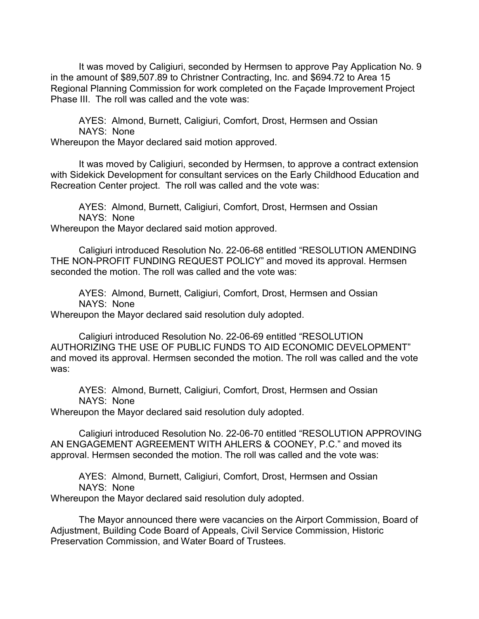It was moved by Caligiuri, seconded by Hermsen to approve Pay Application No. 9 in the amount of \$89,507.89 to Christner Contracting, Inc. and \$694.72 to Area 15 Regional Planning Commission for work completed on the Façade Improvement Project Phase III. The roll was called and the vote was:

AYES: Almond, Burnett, Caligiuri, Comfort, Drost, Hermsen and Ossian NAYS: None Whereupon the Mayor declared said motion approved.

It was moved by Caligiuri, seconded by Hermsen, to approve a contract extension with Sidekick Development for consultant services on the Early Childhood Education and Recreation Center project. The roll was called and the vote was:

AYES: Almond, Burnett, Caligiuri, Comfort, Drost, Hermsen and Ossian NAYS: None

Whereupon the Mayor declared said motion approved.

Caligiuri introduced Resolution No. 22-06-68 entitled "RESOLUTION AMENDING THE NON-PROFIT FUNDING REQUEST POLICY" and moved its approval. Hermsen seconded the motion. The roll was called and the vote was:

AYES: Almond, Burnett, Caligiuri, Comfort, Drost, Hermsen and Ossian NAYS: None

Whereupon the Mayor declared said resolution duly adopted.

Caligiuri introduced Resolution No. 22-06-69 entitled "RESOLUTION AUTHORIZING THE USE OF PUBLIC FUNDS TO AID ECONOMIC DEVELOPMENT" and moved its approval. Hermsen seconded the motion. The roll was called and the vote was:

AYES: Almond, Burnett, Caligiuri, Comfort, Drost, Hermsen and Ossian NAYS: None

Whereupon the Mayor declared said resolution duly adopted.

Caligiuri introduced Resolution No. 22-06-70 entitled "RESOLUTION APPROVING AN ENGAGEMENT AGREEMENT WITH AHLERS & COONEY, P.C." and moved its approval. Hermsen seconded the motion. The roll was called and the vote was:

AYES: Almond, Burnett, Caligiuri, Comfort, Drost, Hermsen and Ossian NAYS: None

Whereupon the Mayor declared said resolution duly adopted.

The Mayor announced there were vacancies on the Airport Commission, Board of Adjustment, Building Code Board of Appeals, Civil Service Commission, Historic Preservation Commission, and Water Board of Trustees.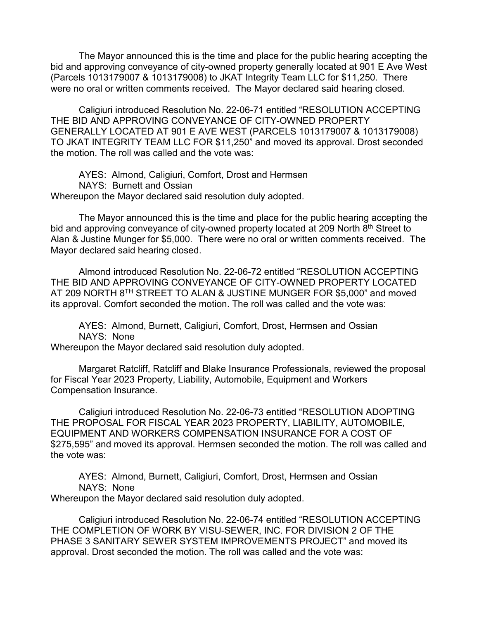The Mayor announced this is the time and place for the public hearing accepting the bid and approving conveyance of city-owned property generally located at 901 E Ave West (Parcels 1013179007 & 1013179008) to JKAT Integrity Team LLC for \$11,250. There were no oral or written comments received. The Mayor declared said hearing closed.

Caligiuri introduced Resolution No. 22-06-71 entitled "RESOLUTION ACCEPTING THE BID AND APPROVING CONVEYANCE OF CITY-OWNED PROPERTY GENERALLY LOCATED AT 901 E AVE WEST (PARCELS 1013179007 & 1013179008) TO JKAT INTEGRITY TEAM LLC FOR \$11,250" and moved its approval. Drost seconded the motion. The roll was called and the vote was:

AYES: Almond, Caligiuri, Comfort, Drost and Hermsen NAYS: Burnett and Ossian Whereupon the Mayor declared said resolution duly adopted.

The Mayor announced this is the time and place for the public hearing accepting the bid and approving conveyance of city-owned property located at 209 North  $8<sup>th</sup>$  Street to Alan & Justine Munger for \$5,000. There were no oral or written comments received. The Mayor declared said hearing closed.

Almond introduced Resolution No. 22-06-72 entitled "RESOLUTION ACCEPTING THE BID AND APPROVING CONVEYANCE OF CITY-OWNED PROPERTY LOCATED AT 209 NORTH 8<sup>TH</sup> STREET TO ALAN & JUSTINE MUNGER FOR \$5,000" and moved its approval. Comfort seconded the motion. The roll was called and the vote was:

AYES: Almond, Burnett, Caligiuri, Comfort, Drost, Hermsen and Ossian NAYS: None

Whereupon the Mayor declared said resolution duly adopted.

Margaret Ratcliff, Ratcliff and Blake Insurance Professionals, reviewed the proposal for Fiscal Year 2023 Property, Liability, Automobile, Equipment and Workers Compensation Insurance.

Caligiuri introduced Resolution No. 22-06-73 entitled "RESOLUTION ADOPTING THE PROPOSAL FOR FISCAL YEAR 2023 PROPERTY, LIABILITY, AUTOMOBILE, EQUIPMENT AND WORKERS COMPENSATION INSURANCE FOR A COST OF \$275,595" and moved its approval. Hermsen seconded the motion. The roll was called and the vote was:

AYES: Almond, Burnett, Caligiuri, Comfort, Drost, Hermsen and Ossian NAYS: None

Whereupon the Mayor declared said resolution duly adopted.

Caligiuri introduced Resolution No. 22-06-74 entitled "RESOLUTION ACCEPTING THE COMPLETION OF WORK BY VISU-SEWER, INC. FOR DIVISION 2 OF THE PHASE 3 SANITARY SEWER SYSTEM IMPROVEMENTS PROJECT" and moved its approval. Drost seconded the motion. The roll was called and the vote was: